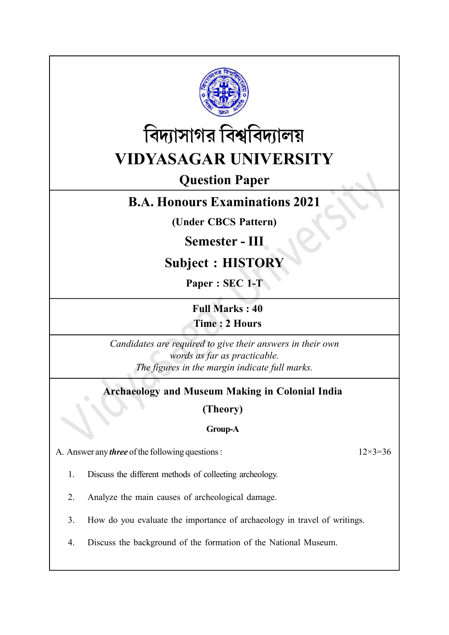



# Question Paper

# B.A. Honours Examinations 2021

(Under CBCS Pattern)

# Semester - III

# Subject : HISTORY

Paper : SEC 1-T

Full Marks : 40 Time : 2 Hours

Candidates are required to give their answers in their own words as far as practicable. The figures in the margin indicate full marks.

# Archaeology and Museum Making in Colonial India

(Theory)

# Group-A

A. Answer any *three* of the following questions :  $12 \times 3 = 36$ 

1. Discuss the different methods of colleeting archeology.

2. Analyze the main causes of archeological damage.

3. How do you evaluate the importance of archaeology in travel of writings.

4. Discuss the background of the formation of the National Museum.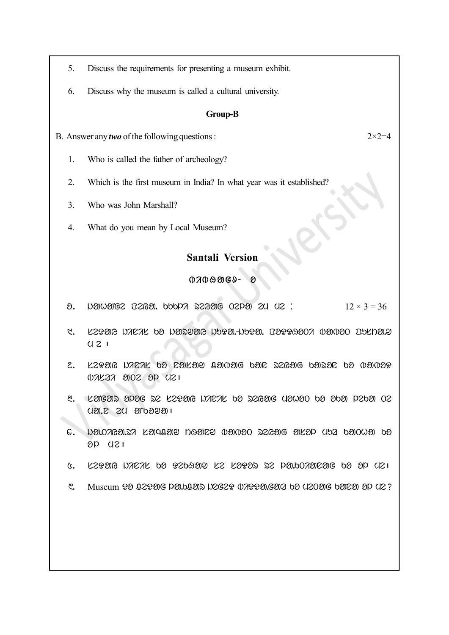- 5. Discuss the requirements for presenting a museum exhibit.
- 6. Discuss why the museum is called a cultural university.

#### Group-B

#### B. Answer any *two* of the following questions :  $2 \times 2 = 4$

- 1. Who is called the father of archeology?
- 2. Which is the first museum in India? In what year was it established?
- 3. Who was John Marshall?
- 4. What do you mean by Local Museum?

# Santali Version

#### $07009069 - 8$

- $\theta$ . New you below that  $\theta$  is a consequence of  $\theta$  and  $\theta$  is  $\theta$  is  $\theta$  is  $\theta$  is  $\theta$  is  $\theta$  is  $\theta$  is  $\theta$  is  $\theta$  is  $\theta$  is  $\theta$  is  $\theta$  is  $\theta$  is  $\theta$  is  $\theta$  is  $\theta$  is  $\theta$  is  $\theta$  is  $\theta$  is  $\theta$  is  $\$
- $\beta$ .  $\beta$ latic inical ba intisting idorti-idory. baboti babot barda.  $U 21$
- $2.$  LEDAG NACAL 00 CALAY BANAG 0AC 22GAG 0A2OC 00 NANDP  $0.7127$   $0.02$   $0.09$   $0.031$
- $8.$  Kalear opag 22 Katal nakak ba 226ang uswao ba aba paba ok  $U$  and  $E$  and  $U$  and  $U$
- $\epsilon$ . nayoyeayy kadaaa ngaca (asolo 2seac akad dao asol pa  $8P$   $121$
- $6.$  LEDAG WACAL by DEbAMP LE LADAD DE PA. bOAMEMG by OP UEI
- $\mathcal{E}$ . Museum  $\mathcal{D}$  82 $\mathcal{D}$  Be point  $\mathcal{D}$  becape  $\mathcal{D}$  and  $\mathcal{D}$  and  $\mathcal{D}$  and  $\mathcal{D}$  means the  $\mathcal{D}$  means  $\mathcal{D}$  and  $\mathcal{D}$  and  $\mathcal{D}$  and  $\mathcal{D}$  means the  $\mathcal{D}$  means the  $\mathcal{D}$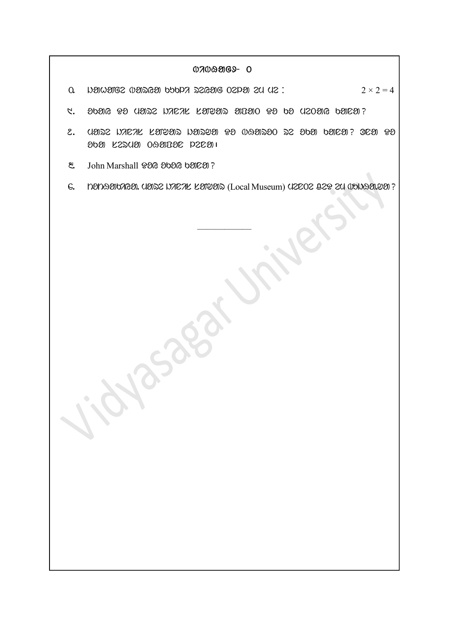## $0709969 - 0$

- $\alpha$  New Me  $\alpha$  and  $\alpha$  is  $\alpha$  and  $\alpha$  is  $\alpha$  is  $\alpha$  . Then  $\alpha$  is  $\alpha$  is  $2 \times 2 = 4$
- $1.$  30216  $93$  U2122 NACAL LATTA and  $90$   $93$  03 U20216 021231?
- 2 . mare jinis saNwar jarwa Do bHaroT re oKa Kana? Ona Do oKa serma THapon lena|
- 8. John Marshall 90G 000G 000E01?
- 6. nanaanaan. ua se nacak karaas (Local Museum) uzcoz 029 zu (Ubuaan.ya)?

——————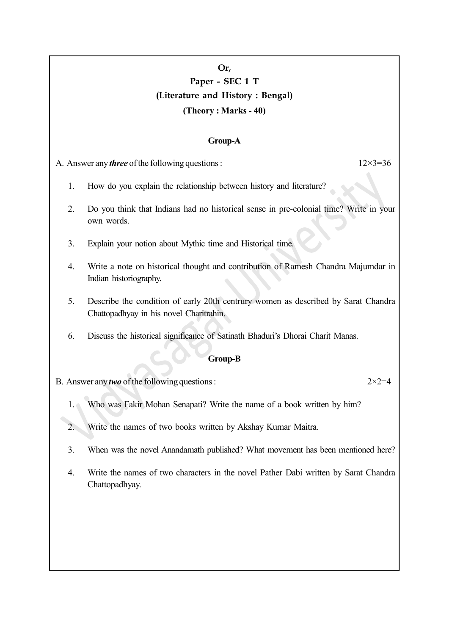# Or, Paper - SEC 1 T (Literature and History : Bengal) (Theory : Marks - 40)

# Group-A

A. Answer any *three* of the following questions :  $12 \times 3 = 36$ 

- 1. How do you explain the relationship between history and literature?
- 2. Do you think that Indians had no historical sense in pre-colonial time? Write in your own words.
- 3. Explain your notion about Mythic time and Historical time.
- 4. Write a note on historical thought and contribution of Ramesh Chandra Majumdar in Indian historiography.
- 5. Describe the condition of early 20th centrury women as described by Sarat Chandra Chattopadhyay in his novel Charitrahin.
- 6. Discuss the historical significance of Satinath Bhaduri's Dhorai Charit Manas.

## Group-B

- B. Answer any *two* of the following questions :  $2 \times 2 = 4$ 
	- 1. Who was Fakir Mohan Senapati? Write the name of a book written by him?
	- 2. Write the names of two books written by Akshay Kumar Maitra.
	- 3. When was the novel Anandamath published? What movement has been mentioned here?
	- 4. Write the names of two characters in the novel Pather Dabi written by Sarat Chandra Chattopadhyay.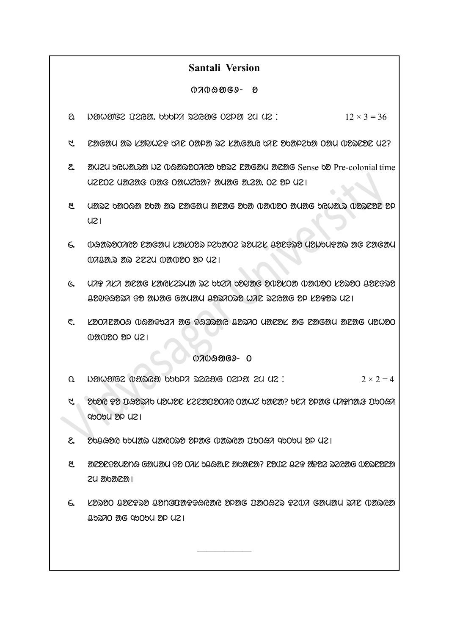# Santali Version

## $0700909 - 8$

- $\alpha$  Denovaties trades. Nobels seed the corporation of  $12 \times 3 = 36$
- $1.$  Dengam ar langmed ar oanpar se langang dala reparda oam opsere ye?
- 2. amizy bGWD. amem D2 wadaaroo bad baad anag barotig Sense bang Pre-colonial time U2202 U20208 W203 O20U2 C20? 20U206 20220 02 2P U21
- 8. uza badaa ar ar nagam ar nagam anag oka babo amag kama anag ap  $UZI$
- 4. bHaroTiyo nagam sasTor lekaTe romes conDro mojumDar ag nagam  $0.7922 \gg 0.792$   $0.7942 \gg 0.792$
- $6.$  MiD is an arror controlled to say that we know the conduction  $100$   $100$   $100$   $100$   $100$   $100$ contents to all algorithm conditions and all resorts of the propagation of  $1$
- C. LOOREMOG WGMT527 MG TGGOOMG BDORO UMEDL MG EMGMU MEMG UDWOO  $0202020$   $021$

## $0700909 - 0$

- $\Omega$  baryaires weight barya series of  $\Omega$  and  $\Omega$  is  $\Omega$  . 2  $\lambda$   $\Omega$  = 4
- 1. Ob PG PO DO PAO UPUPE KZE MEDOA OMUZ bIDEN? DE A PPAG UAPHIL BUOGA  $QDO9QSDQ1$
- $2.$  obbard bumar uncost that when the radius puTum old  $2.$
- 8. anodogoudha Gonuon Go Orl byago. Cambro: Conc yeg wgoa azeong woacoco 24 abanean
- $6.$  LYNO UILTN UINGINTTARA PPAG INORZN TZUA GAUNU NAL UINGA  $Q$ bazo orgaboby op  $U2$

——————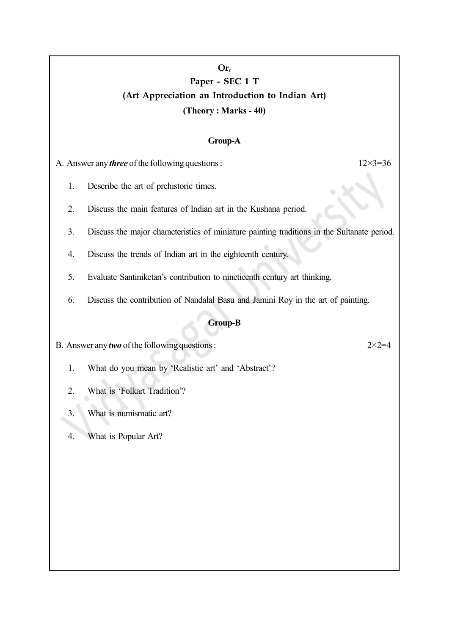# Or, Paper - SEC 1 T (Art Appreciation an Introduction to Indian Art) (Theory : Marks - 40)

## Group-A

A. Answer any *three* of the following questions :  $12 \times 3 = 36$ 

- 1. Describe the art of prehistoric times.
- 2. Discuss the main features of Indian art in the Kushana period.
- 3. Discuss the major characteristics of miniature painting traditions in the Sultanate period.
- 4. Discuss the trends of Indian art in the eighteenth century.
- 5. Evaluate Santiniketan's contribution to ninetieenth century art thinking.
- 6. Discuss the contribution of Nandalal Basu and Jamini Roy in the art of painting.

## Group-B

B. Answer any *two* of the following questions :  $2 \times 2 = 4$ 

- 1. What do you mean by 'Realistic art' and 'Abstract'?
- 2. What is 'Folkart Tradition'?
- 3. What is numismatic art?
- 4. What is Popular Art?